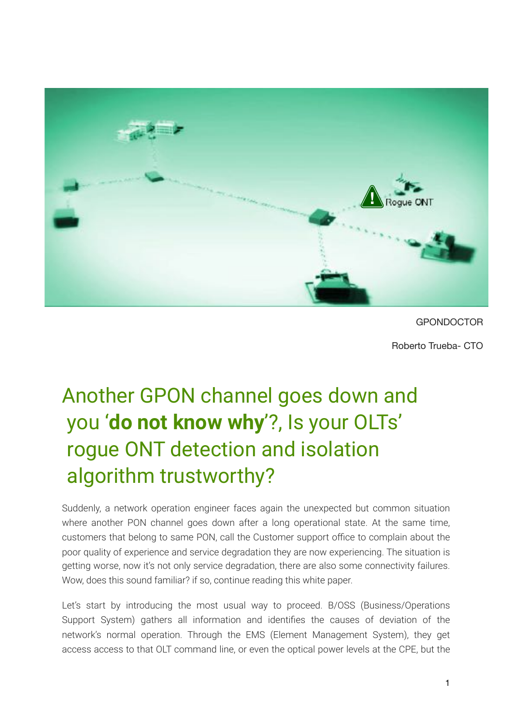

**GPONDOCTOR** 

Roberto Trueba- CTO

# Another GPON channel goes down and you '**do not know why**'?, Is your OLTs' rogue ONT detection and isolation algorithm trustworthy?

Suddenly, a network operation engineer faces again the unexpected but common situation where another PON channel goes down after a long operational state. At the same time, customers that belong to same PON, call the Customer support office to complain about the poor quality of experience and service degradation they are now experiencing. The situation is getting worse, now it's not only service degradation, there are also some connectivity failures. Wow, does this sound familiar? if so, continue reading this white paper.

Let's start by introducing the most usual way to proceed. B/OSS (Business/Operations Support System) gathers all information and identifies the causes of deviation of the network's normal operation. Through the EMS (Element Management System), they get access access to that OLT command line, or even the optical power levels at the CPE, but the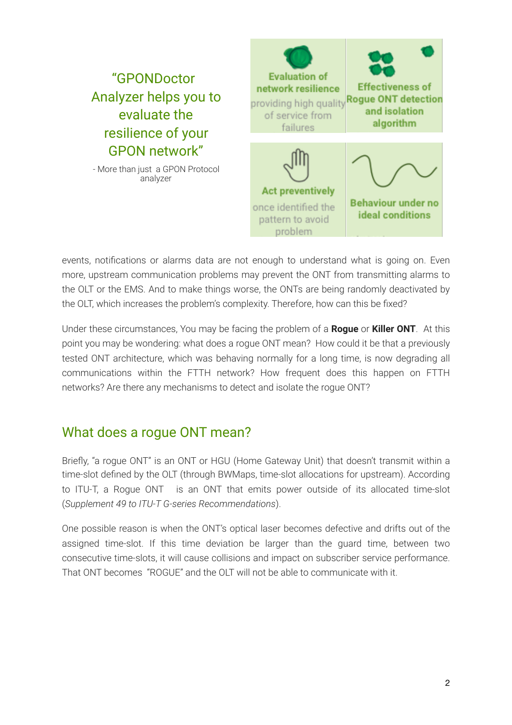

events, notifications or alarms data are not enough to understand what is going on. Even more, upstream communication problems may prevent the ONT from transmitting alarms to the OLT or the EMS. And to make things worse, the ONTs are being randomly deactivated by the OLT, which increases the problem's complexity. Therefore, how can this be fixed?

Under these circumstances, You may be facing the problem of a **Rogue** or **Killer ONT**. At this point you may be wondering: what does a rogue ONT mean? How could it be that a previously tested ONT architecture, which was behaving normally for a long time, is now degrading all communications within the FTTH network? How frequent does this happen on FTTH networks? Are there any mechanisms to detect and isolate the rogue ONT?

### What does a rogue ONT mean?

Briefly, "a rogue ONT" is an ONT or HGU (Home Gateway Unit) that doesn't transmit within a time-slot defined by the OLT (through BWMaps, time-slot allocations for upstream). According to ITU-T, a Rogue ONT is an ONT that emits power outside of its allocated time-slot (*Supplement 49 to ITU-T G-series Recommendations*).

One possible reason is when the ONT's optical laser becomes defective and drifts out of the assigned time-slot. If this time deviation be larger than the guard time, between two consecutive time-slots, it will cause collisions and impact on subscriber service performance. That ONT becomes "ROGUE" and the OLT will not be able to communicate with it.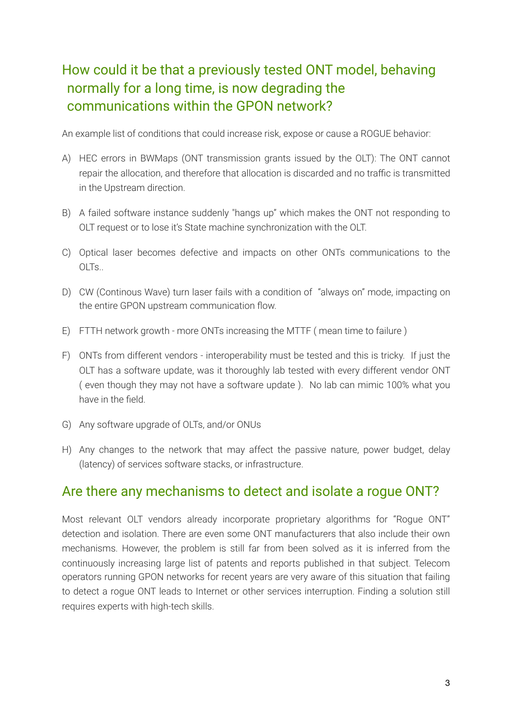# How could it be that a previously tested ONT model, behaving normally for a long time, is now degrading the communications within the GPON network?

An example list of conditions that could increase risk, expose or cause a ROGUE behavior:

- A) HEC errors in BWMaps (ONT transmission grants issued by the OLT): The ONT cannot repair the allocation, and therefore that allocation is discarded and no traffic is transmitted in the Upstream direction.
- B) A failed software instance suddenly "hangs up" which makes the ONT not responding to OLT request or to lose it's State machine synchronization with the OLT.
- C) Optical laser becomes defective and impacts on other ONTs communications to the OLTs..
- D) CW (Continous Wave) turn laser fails with a condition of "always on" mode, impacting on the entire GPON upstream communication flow.
- E) FTTH network growth more ONTs increasing the MTTF ( mean time to failure )
- F) ONTs from different vendors interoperability must be tested and this is tricky. If just the OLT has a software update, was it thoroughly lab tested with every different vendor ONT ( even though they may not have a software update ). No lab can mimic 100% what you have in the field.
- G) Any software upgrade of OLTs, and/or ONUs
- H) Any changes to the network that may affect the passive nature, power budget, delay (latency) of services software stacks, or infrastructure.

#### Are there any mechanisms to detect and isolate a rogue ONT?

Most relevant OLT vendors already incorporate proprietary algorithms for "Rogue ONT" detection and isolation. There are even some ONT manufacturers that also include their own mechanisms. However, the problem is still far from been solved as it is inferred from the continuously increasing large list of patents and reports published in that subject. Telecom operators running GPON networks for recent years are very aware of this situation that failing to detect a rogue ONT leads to Internet or other services interruption. Finding a solution still requires experts with high-tech skills.